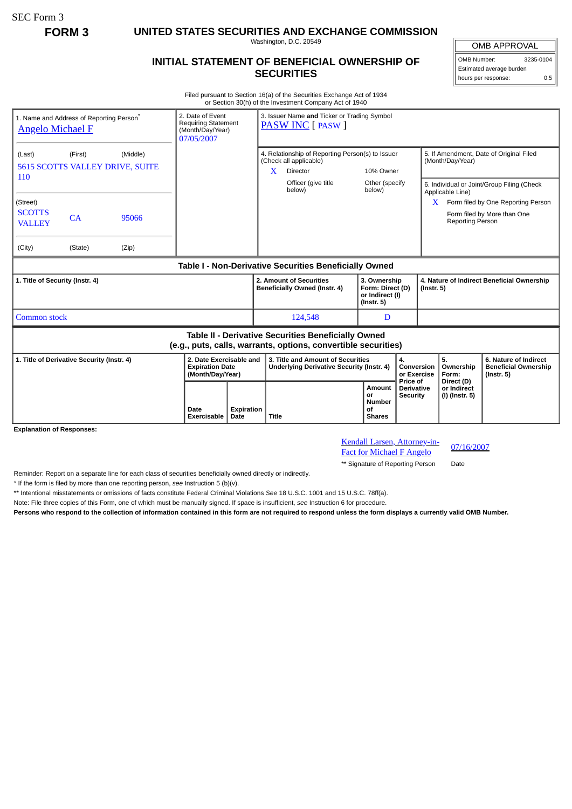SEC Form 3

**FORM 3 UNITED STATES SECURITIES AND EXCHANGE COMMISSION**

Washington, D.C. 20549

## **INITIAL STATEMENT OF BENEFICIAL OWNERSHIP OF SECURITIES**

OMB APPROVAL OMB Number: 3235-0104

Estimated average burden hours per response: 0.5

Filed pursuant to Section 16(a) of the Securities Exchange Act of 1934 or Section 30(h) of the Investment Company Act of 1940

| 1. Name and Address of Reporting Person <sup>®</sup><br><b>Angelo Michael F</b>                                       |                                                               |                | 2. Date of Event<br><b>Requiring Statement</b><br>(Month/Day/Year)<br>07/05/2007 |                    | 3. Issuer Name and Ticker or Trading Symbol<br><b>PASW INC</b> [ PASW ]                     |                               |                                                                         |                                                  |                                                                |                                                                                                                 |
|-----------------------------------------------------------------------------------------------------------------------|---------------------------------------------------------------|----------------|----------------------------------------------------------------------------------|--------------------|---------------------------------------------------------------------------------------------|-------------------------------|-------------------------------------------------------------------------|--------------------------------------------------|----------------------------------------------------------------|-----------------------------------------------------------------------------------------------------------------|
| (Last)<br>110                                                                                                         | (Middle)<br>(First)<br><b>5615 SCOTTS VALLEY DRIVE, SUITE</b> |                |                                                                                  |                    | 4. Relationship of Reporting Person(s) to Issuer<br>(Check all applicable)<br>X<br>Director |                               | 10% Owner                                                               |                                                  | 5. If Amendment, Date of Original Filed<br>(Month/Day/Year)    |                                                                                                                 |
| (Street)<br><b>SCOTTS</b><br><b>VALLEY</b><br>(City)                                                                  | CA<br>(State)                                                 | 95066<br>(Zip) |                                                                                  |                    |                                                                                             | Officer (give title<br>below) | Other (specify<br>below)                                                |                                                  | Applicable Line)<br>X<br>Reporting Person                      | 6. Individual or Joint/Group Filing (Check<br>Form filed by One Reporting Person<br>Form filed by More than One |
| Table I - Non-Derivative Securities Beneficially Owned                                                                |                                                               |                |                                                                                  |                    |                                                                                             |                               |                                                                         |                                                  |                                                                |                                                                                                                 |
| 1. Title of Security (Instr. 4)                                                                                       |                                                               |                |                                                                                  |                    | 2. Amount of Securities<br>Beneficially Owned (Instr. 4)                                    |                               | 3. Ownership<br>Form: Direct (D)<br>or Indirect (I)<br>$($ lnstr. 5 $)$ |                                                  | 4. Nature of Indirect Beneficial Ownership<br>$($ Instr. 5 $)$ |                                                                                                                 |
| <b>Common stock</b>                                                                                                   |                                                               |                |                                                                                  |                    |                                                                                             | 124,548                       | D                                                                       |                                                  |                                                                |                                                                                                                 |
| Table II - Derivative Securities Beneficially Owned<br>(e.g., puts, calls, warrants, options, convertible securities) |                                                               |                |                                                                                  |                    |                                                                                             |                               |                                                                         |                                                  |                                                                |                                                                                                                 |
| 1. Title of Derivative Security (Instr. 4)                                                                            |                                                               |                | 2. Date Exercisable and<br><b>Expiration Date</b><br>(Month/Day/Year)            |                    | 3. Title and Amount of Securities<br>Underlying Derivative Security (Instr. 4)              |                               | 4.<br>Conversion<br>or Exercise                                         |                                                  | 5.<br>Ownership<br>Form:                                       | 6. Nature of Indirect<br><b>Beneficial Ownership</b><br>$($ Instr. 5 $)$                                        |
|                                                                                                                       |                                                               |                | Date<br>Exercisable                                                              | Expiration<br>Date | Title                                                                                       |                               | Amount<br>or<br><b>Number</b><br>Οf<br><b>Shares</b>                    | Price of<br><b>Derivative</b><br><b>Security</b> | Direct (D)<br>or Indirect<br>(I) (Instr. 5)                    |                                                                                                                 |

**Explanation of Responses:**

Kendall Larsen, Attorney-in-**Example 12 Example 12 Example 12 Fact for Michael F Angelo** 07/16/2007

\*\* Signature of Reporting Person Date

Reminder: Report on a separate line for each class of securities beneficially owned directly or indirectly.

\* If the form is filed by more than one reporting person, *see* Instruction 5 (b)(v).

\*\* Intentional misstatements or omissions of facts constitute Federal Criminal Violations *See* 18 U.S.C. 1001 and 15 U.S.C. 78ff(a).

Note: File three copies of this Form, one of which must be manually signed. If space is insufficient, *see* Instruction 6 for procedure.

**Persons who respond to the collection of information contained in this form are not required to respond unless the form displays a currently valid OMB Number.**